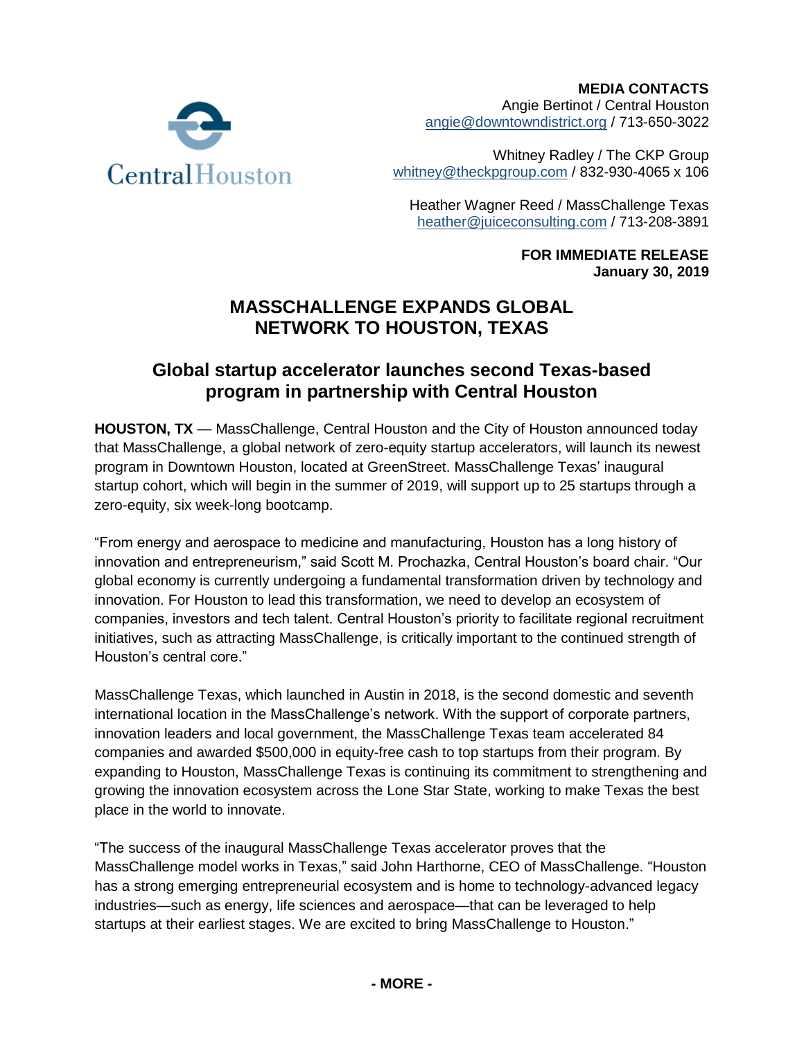

**MEDIA CONTACTS** Angie Bertinot / Central Houston [angie@downtowndistrict.org](mailto:angie@downtowndistrict.org) / 713-650-3022

Whitney Radley / The CKP Group [whitney@theckpgroup.com](mailto:whitney@theckpgroup.com) / 832-930-4065 x 106

Heather Wagner Reed / MassChallenge Texas [heather@juiceconsulting.com](mailto:heather@juiceconsulting.com) / 713-208-3891

> **FOR IMMEDIATE RELEASE January 30, 2019**

# **MASSCHALLENGE EXPANDS GLOBAL NETWORK TO HOUSTON, TEXAS**

# **Global startup accelerator launches second Texas-based program in partnership with Central Houston**

**HOUSTON, TX** — MassChallenge, Central Houston and the City of Houston announced today that MassChallenge, a global network of zero-equity startup accelerators, will launch its newest program in Downtown Houston, located at GreenStreet. MassChallenge Texas' inaugural startup cohort, which will begin in the summer of 2019, will support up to 25 startups through a zero-equity, six week-long bootcamp.

"From energy and aerospace to medicine and manufacturing, Houston has a long history of innovation and entrepreneurism," said Scott M. Prochazka, Central Houston's board chair. "Our global economy is currently undergoing a fundamental transformation driven by technology and innovation. For Houston to lead this transformation, we need to develop an ecosystem of companies, investors and tech talent. Central Houston's priority to facilitate regional recruitment initiatives, such as attracting MassChallenge, is critically important to the continued strength of Houston's central core."

MassChallenge Texas, which launched in Austin in 2018, is the second domestic and seventh international location in the MassChallenge's network. With the support of corporate partners, innovation leaders and local government, the MassChallenge Texas team accelerated 84 companies and awarded \$500,000 in equity-free cash to top startups from their program. By expanding to Houston, MassChallenge Texas is continuing its commitment to strengthening and growing the innovation ecosystem across the Lone Star State, working to make Texas the best place in the world to innovate.

"The success of the inaugural MassChallenge Texas accelerator proves that the MassChallenge model works in Texas," said John Harthorne, CEO of MassChallenge. "Houston has a strong emerging entrepreneurial ecosystem and is home to technology-advanced legacy industries—such as energy, life sciences and aerospace—that can be leveraged to help startups at their earliest stages. We are excited to bring MassChallenge to Houston."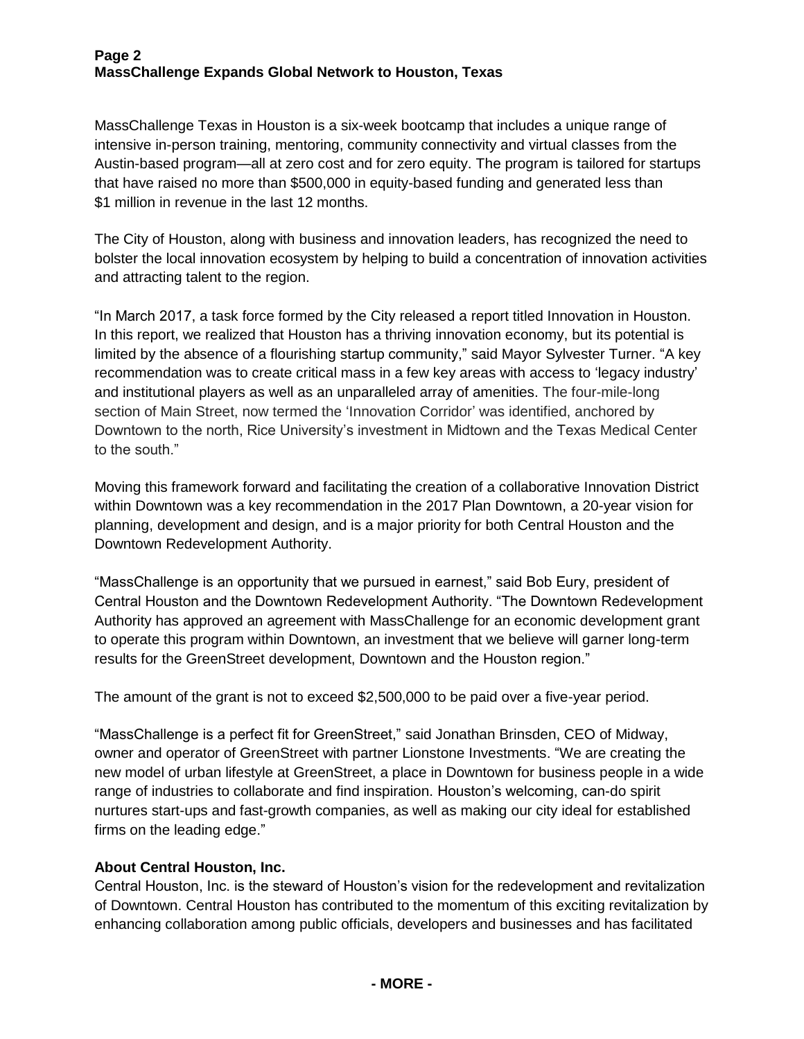## **Page 2 MassChallenge Expands Global Network to Houston, Texas**

MassChallenge Texas in Houston is a six-week bootcamp that includes a unique range of intensive in-person training, mentoring, community connectivity and virtual classes from the Austin-based program—all at zero cost and for zero equity. The program is tailored for startups that have raised no more than \$500,000 in equity-based funding and generated less than \$1 million in revenue in the last 12 months.

The City of Houston, along with business and innovation leaders, has recognized the need to bolster the local innovation ecosystem by helping to build a concentration of innovation activities and attracting talent to the region.

"In March 2017, a task force formed by the City released a report titled Innovation in Houston. In this report, we realized that Houston has a thriving innovation economy, but its potential is limited by the absence of a flourishing startup community," said Mayor Sylvester Turner. "A key recommendation was to create critical mass in a few key areas with access to 'legacy industry' and institutional players as well as an unparalleled array of amenities. The four-mile-long section of Main Street, now termed the 'Innovation Corridor' was identified, anchored by Downtown to the north, Rice University's investment in Midtown and the Texas Medical Center to the south."

Moving this framework forward and facilitating the creation of a collaborative Innovation District within Downtown was a key recommendation in the 2017 Plan Downtown, a 20-year vision for planning, development and design, and is a major priority for both Central Houston and the Downtown Redevelopment Authority.

"MassChallenge is an opportunity that we pursued in earnest," said Bob Eury, president of Central Houston and the Downtown Redevelopment Authority. "The Downtown Redevelopment Authority has approved an agreement with MassChallenge for an economic development grant to operate this program within Downtown, an investment that we believe will garner long-term results for the GreenStreet development, Downtown and the Houston region."

The amount of the grant is not to exceed \$2,500,000 to be paid over a five-year period.

"MassChallenge is a perfect fit for GreenStreet," said Jonathan Brinsden, CEO of Midway, owner and operator of GreenStreet with partner Lionstone Investments. "We are creating the new model of urban lifestyle at GreenStreet, a place in Downtown for business people in a wide range of industries to collaborate and find inspiration. Houston's welcoming, can-do spirit nurtures start-ups and fast-growth companies, as well as making our city ideal for established firms on the leading edge."

# **About Central Houston, Inc.**

Central Houston, Inc. is the steward of Houston's vision for the redevelopment and revitalization of Downtown. Central Houston has contributed to the momentum of this exciting revitalization by enhancing collaboration among public officials, developers and businesses and has facilitated